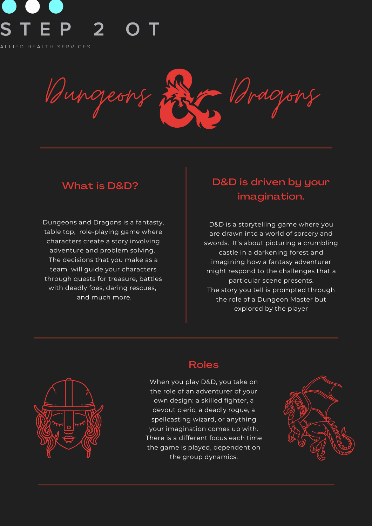# S

AIIIFD HEAITH SERVICES

Bungeons En Aragons

Dungeons and Dragons is a fantasty, table top, role-playing game where characters create a story involving adventure and problem solving. The decisions that you make as a team will guide your characters through quests for treasure, battles with deadly foes, daring rescues, and much more.

# What is D&D?

D&D is a storytelling game where you are drawn into a world of sorcery and swords. It's about picturing a crumbling castle in a darkening forest and imagining how a fantasy adventurer might respond to the challenges that a particular scene presents. The story you tell is prompted through the role of a Dungeon Master but explored by the player



# D&D is driven by your imagination.

When you play D&D, you take on the role of an adventurer of your own design: a skilled fighter, a devout cleric, a deadly rogue, a spellcasting wizard, or anything your imagination comes up with. There is a different focus each time the game is played, dependent on the group dynamics.



#### Roles